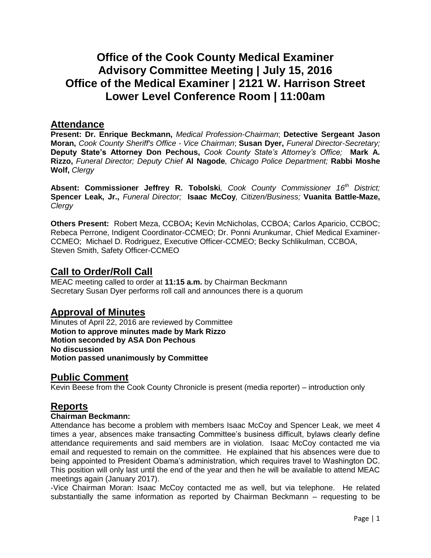# **Office of the Cook County Medical Examiner Advisory Committee Meeting | July 15, 2016 Office of the Medical Examiner | 2121 W. Harrison Street Lower Level Conference Room | 11:00am**

### **Attendance**

**Present: Dr. Enrique Beckmann,** *Medical Profession-Chairman*; **Detective Sergeant Jason Moran,** *Cook County Sheriff's Office - Vice Chairman*; **Susan Dyer,** *Funeral Director-Secretary;*  **Deputy State's Attorney Don Pechous,** *Cook County State's Attorney's Office;* **Mark A. Rizzo,** *Funeral Director; Deputy Chief* **Al Nagode***, Chicago Police Department;* **Rabbi Moshe Wolf,** *Clergy*

**Absent: Commissioner Jeffrey R. Tobolski***, Cook County Commissioner 16th District;*  **Spencer Leak, Jr.,** *Funeral Director;* **Isaac McCoy***, Citizen/Business;* **Vuanita Battle-Maze,** *Clergy*

**Others Present:** Robert Meza, CCBOA**;** Kevin McNicholas, CCBOA; Carlos Aparicio, CCBOC; Rebeca Perrone, Indigent Coordinator-CCMEO; Dr. Ponni Arunkumar, Chief Medical Examiner-CCMEO; Michael D. Rodriguez, Executive Officer-CCMEO; Becky Schlikulman, CCBOA, Steven Smith, Safety Officer-CCMEO

### **Call to Order/Roll Call**

MEAC meeting called to order at **11:15 a.m.** by Chairman Beckmann Secretary Susan Dyer performs roll call and announces there is a quorum

### **Approval of Minutes**

Minutes of April 22, 2016 are reviewed by Committee **Motion to approve minutes made by Mark Rizzo Motion seconded by ASA Don Pechous No discussion Motion passed unanimously by Committee**

### **Public Comment**

Kevin Beese from the Cook County Chronicle is present (media reporter) – introduction only

## **Reports**

#### **Chairman Beckmann:**

Attendance has become a problem with members Isaac McCoy and Spencer Leak, we meet 4 times a year, absences make transacting Committee's business difficult, bylaws clearly define attendance requirements and said members are in violation. Isaac McCoy contacted me via email and requested to remain on the committee. He explained that his absences were due to being appointed to President Obama's administration, which requires travel to Washington DC. This position will only last until the end of the year and then he will be available to attend MEAC meetings again (January 2017).

-Vice Chairman Moran: Isaac McCoy contacted me as well, but via telephone. He related substantially the same information as reported by Chairman Beckmann – requesting to be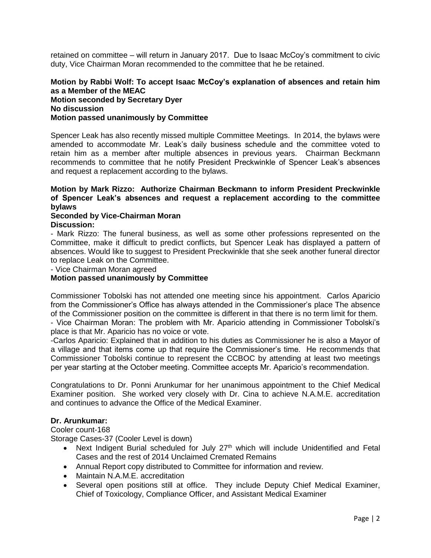retained on committee – will return in January 2017. Due to Isaac McCoy's commitment to civic duty, Vice Chairman Moran recommended to the committee that he be retained.

#### **Motion by Rabbi Wolf: To accept Isaac McCoy's explanation of absences and retain him as a Member of the MEAC Motion seconded by Secretary Dyer No discussion Motion passed unanimously by Committee**

Spencer Leak has also recently missed multiple Committee Meetings. In 2014, the bylaws were amended to accommodate Mr. Leak's daily business schedule and the committee voted to retain him as a member after multiple absences in previous years. Chairman Beckmann recommends to committee that he notify President Preckwinkle of Spencer Leak's absences and request a replacement according to the bylaws.

#### **Motion by Mark Rizzo: Authorize Chairman Beckmann to inform President Preckwinkle of Spencer Leak's absences and request a replacement according to the committee bylaws**

#### **Seconded by Vice-Chairman Moran Discussion:**

- Mark Rizzo: The funeral business, as well as some other professions represented on the Committee, make it difficult to predict conflicts, but Spencer Leak has displayed a pattern of absences. Would like to suggest to President Preckwinkle that she seek another funeral director to replace Leak on the Committee.

- Vice Chairman Moran agreed

#### **Motion passed unanimously by Committee**

Commissioner Tobolski has not attended one meeting since his appointment. Carlos Aparicio from the Commissioner's Office has always attended in the Commissioner's place The absence of the Commissioner position on the committee is different in that there is no term limit for them. - Vice Chairman Moran: The problem with Mr. Aparicio attending in Commissioner Tobolski's place is that Mr. Aparicio has no voice or vote.

-Carlos Aparicio: Explained that in addition to his duties as Commissioner he is also a Mayor of a village and that items come up that require the Commissioner's time. He recommends that Commissioner Tobolski continue to represent the CCBOC by attending at least two meetings per year starting at the October meeting. Committee accepts Mr. Aparicio's recommendation.

Congratulations to Dr. Ponni Arunkumar for her unanimous appointment to the Chief Medical Examiner position. She worked very closely with Dr. Cina to achieve N.A.M.E. accreditation and continues to advance the Office of the Medical Examiner.

#### **Dr. Arunkumar:**

Cooler count-168

Storage Cases-37 (Cooler Level is down)

- Next Indigent Burial scheduled for July 27<sup>th</sup> which will include Unidentified and Fetal Cases and the rest of 2014 Unclaimed Cremated Remains
- Annual Report copy distributed to Committee for information and review.
- Maintain N.A.M.E. accreditation
- Several open positions still at office. They include Deputy Chief Medical Examiner, Chief of Toxicology, Compliance Officer, and Assistant Medical Examiner